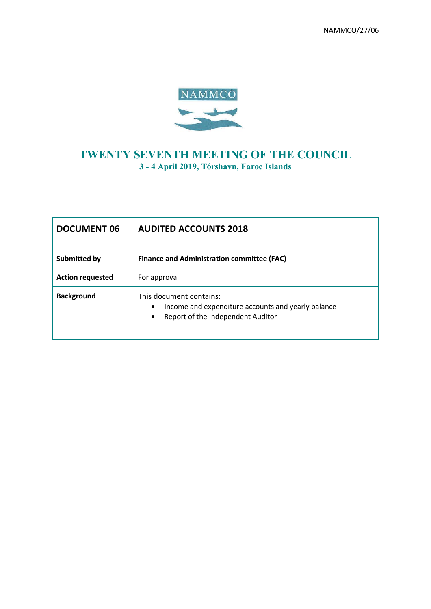

# **TWENTY SEVENTH MEETING OF THE COUNCIL 3 - 4 April 2019, Tórshavn, Faroe Islands**

| <b>DOCUMENT 06</b>      | <b>AUDITED ACCOUNTS 2018</b>                                                                                                 |
|-------------------------|------------------------------------------------------------------------------------------------------------------------------|
| <b>Submitted by</b>     | <b>Finance and Administration committee (FAC)</b>                                                                            |
| <b>Action requested</b> | For approval                                                                                                                 |
| <b>Background</b>       | This document contains:<br>Income and expenditure accounts and yearly balance<br>٠<br>Report of the Independent Auditor<br>٠ |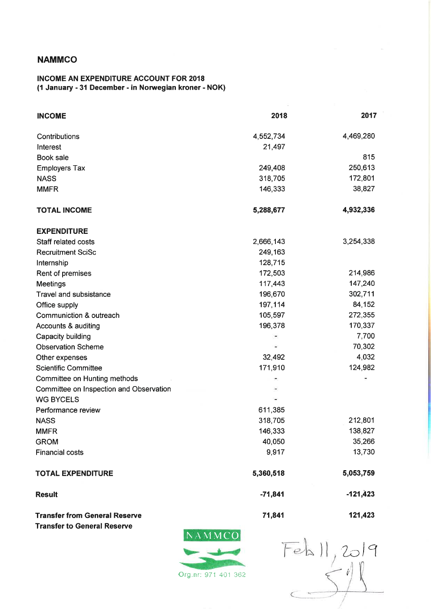## **NAMMCO**

### **INCOME AN EXPENDITURE ACCOUNT FOR 2018** (1 January - 31 December - in Norwegian kroner - NOK)

| <b>INCOME</b>                           | 2018      | 2017       |
|-----------------------------------------|-----------|------------|
| Contributions                           | 4,552,734 | 4,469,280  |
| Interest                                | 21,497    |            |
| Book sale                               |           | 815        |
| <b>Employers Tax</b>                    | 249,408   | 250,613    |
| <b>NASS</b>                             | 318,705   | 172,801    |
| <b>MMFR</b>                             | 146,333   | 38,827     |
| <b>TOTAL INCOME</b>                     | 5,288,677 | 4,932,336  |
| <b>EXPENDITURE</b>                      |           |            |
| Staff related costs                     | 2,666,143 | 3,254,338  |
| <b>Recruitment SciSc</b>                | 249,163   |            |
| Internship                              | 128,715   |            |
| Rent of premises                        | 172,503   | 214,986    |
| <b>Meetings</b>                         | 117,443   | 147,240    |
| <b>Travel and subsistance</b>           | 196,670   | 302,711    |
| Office supply                           | 197,114   | 84,152     |
| Communiction & outreach                 | 105,597   | 272,355    |
| Accounts & auditing                     | 196,378   | 170,337    |
| Capacity building                       |           | 7,700      |
| <b>Observation Scheme</b>               |           | 70,302     |
| Other expenses                          | 32,492    | 4,032      |
| <b>Scientific Committee</b>             | 171,910   | 124,982    |
| Committee on Hunting methods            |           |            |
| Committee on Inspection and Observation |           |            |
| <b>WG BYCELS</b>                        |           |            |
| Performance review                      | 611,385   |            |
| <b>NASS</b>                             | 318,705   | 212,801    |
| <b>MMFR</b>                             | 146,333   | 138,827    |
| <b>GROM</b>                             | 40,050    | 35,266     |
| <b>Financial costs</b>                  | 9,917     | 13,730     |
| <b>TOTAL EXPENDITURE</b>                | 5,360,518 | 5,053,759  |
| <b>Result</b>                           | $-71,841$ | $-121,423$ |
| <b>Transfer from General Reserve</b>    | 71,841    | 121,423    |

**Transfer from General Reserve Transfer to General Reserve** 



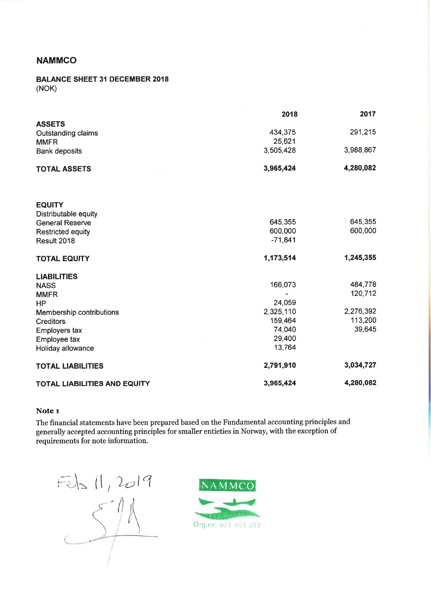## **NAMMCO**

#### **BALANCE SHEET 31 DECEMBER 2018**  $(NOK)$

|                                     | 2018      | 2017      |
|-------------------------------------|-----------|-----------|
| <b>ASSETS</b>                       |           |           |
| Outstanding claims                  | 434,375   | 291,215   |
| <b>MMFR</b>                         | 25,621    |           |
| <b>Bank deposits</b>                | 3,505,428 | 3,988,867 |
| <b>TOTAL ASSETS</b>                 | 3,965,424 | 4,280,082 |
| <b>EQUITY</b>                       |           |           |
| Distributable equity                |           |           |
| <b>General Reserve</b>              | 645,355   | 645,355   |
| <b>Restricted equity</b>            | 600,000   | 600,000   |
| Result 2018                         | $-71,841$ |           |
| <b>TOTAL EQUITY</b>                 | 1,173,514 | 1,245,355 |
| <b>LIABILITIES</b>                  |           |           |
| <b>NASS</b>                         | 166,073   | 484,778   |
| <b>MMFR</b>                         |           | 120,712   |
| <b>HP</b>                           | 24,059    |           |
| <b>Membership contributions</b>     | 2,325,110 | 2,276,392 |
| <b>Creditors</b>                    | 159,464   | 113,200   |
| Employers tax                       | 74,040    | 39,645    |
| Employee tax                        | 29,400    |           |
| Holiday allowance                   | 13,764    |           |
| <b>TOTAL LIABILITIES</b>            | 2,791,910 | 3,034,727 |
| <b>TOTAL LIABILITIES AND EQUITY</b> | 3,965,424 | 4,280,082 |

### Note 1

The financial statements have been prepared based on the Fundamental accounting principles and generally accepted accounting principles for smaller entieties in Norway, with the exception of requirements for note information.



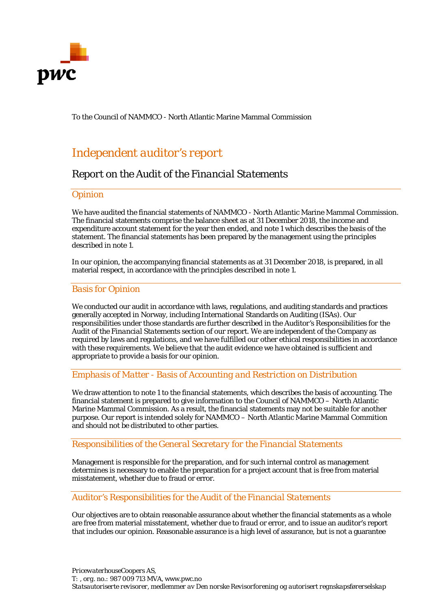

To the Council of NAMMCO - North Atlantic Marine Mammal Commission

# *Independent auditor's report*

## *Report on the Audit of the Financial Statements*

## *Opinion*

We have audited the financial statements of NAMMCO - North Atlantic Marine Mammal Commission. The financial statements comprise the balance sheet as at 31 December 2018, the income and expenditure account statement for the year then ended, and note 1 which describes the basis of the statement. The financial statements has been prepared by the management using the principles described in note 1.

In our opinion, the accompanying financial statements as at 31 December 2018, is prepared, in all material respect, in accordance with the principles described in note 1.

## *Basis for Opinion*

We conducted our audit in accordance with laws, regulations, and auditing standards and practices generally accepted in Norway, including International Standards on Auditing (ISAs). Our responsibilities under those standards are further described in the *Auditor's Responsibilities for the Audit of the Financial Statements* section of our report. We are independent of the Company as required by laws and regulations, and we have fulfilled our other ethical responsibilities in accordance with these requirements. We believe that the audit evidence we have obtained is sufficient and appropriate to provide a basis for our opinion.

## *Emphasis of Matter - Basis of Accounting and Restriction on Distribution*

We draw attention to note 1 to the financial statements, which describes the basis of accounting. The financial statement is prepared to give information to the Council of NAMMCO – North Atlantic Marine Mammal Commission. As a result, the financial statements may not be suitable for another purpose. Our report is intended solely for NAMMCO – North Atlantic Marine Mammal Commition and should not be distributed to other parties.

## *Responsibilities of the General Secretary for the Financial Statements*

Management is responsible for the preparation, and for such internal control as management determines is necessary to enable the preparation for a project account that is free from material misstatement, whether due to fraud or error.

## *Auditor's Responsibilities for the Audit of the Financial Statements*

Our objectives are to obtain reasonable assurance about whether the financial statements as a whole are free from material misstatement, whether due to fraud or error, and to issue an auditor's report that includes our opinion. Reasonable assurance is a high level of assurance, but is not a guarantee